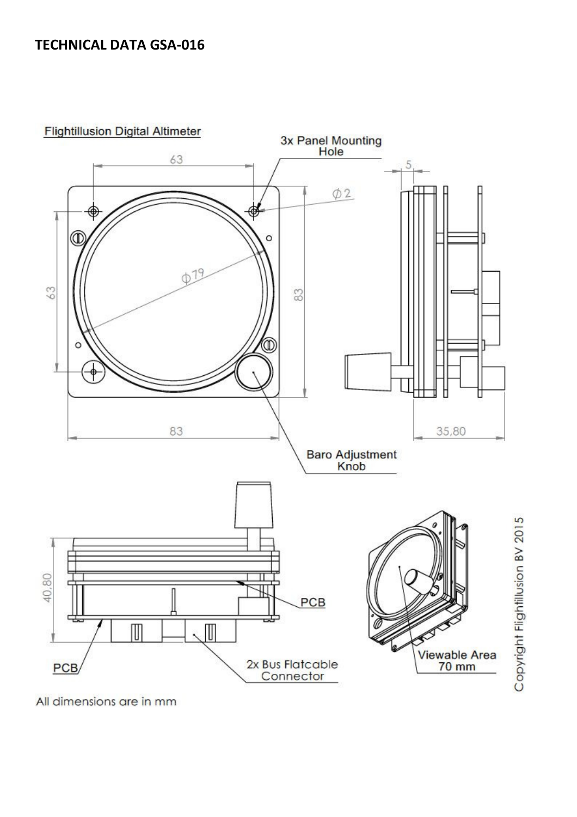## TECHNICAL DATA GSA-016

**Flightillusion Digital Altimeter** 



All dimensions are in mm